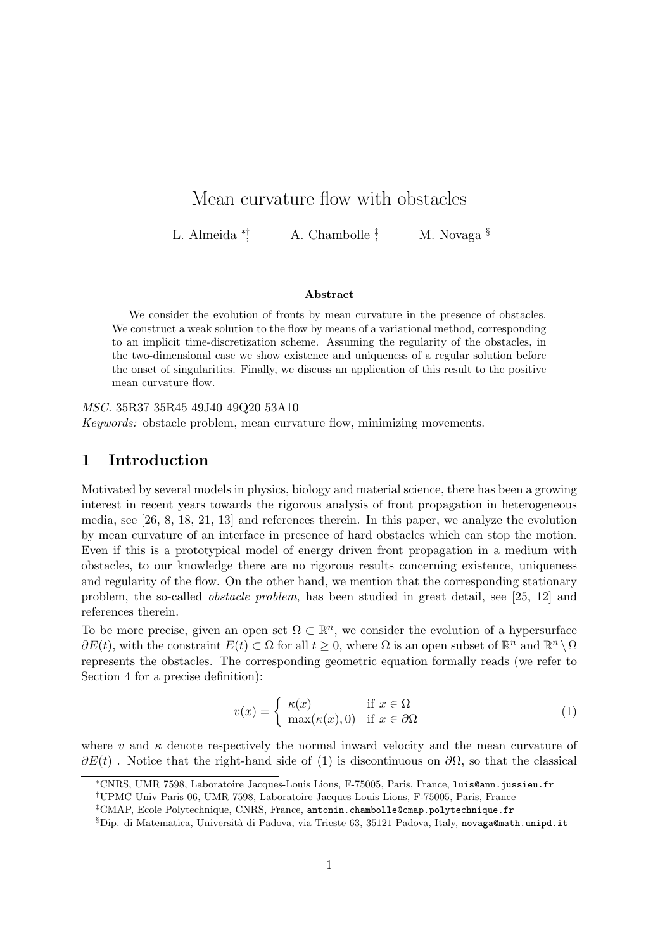# Mean curvature flow with obstacles

L. Almeida  $*$ ; A. Chambolle  $\frac{1}{2}$ M. Novaga<sup>§</sup>

#### Abstract

We consider the evolution of fronts by mean curvature in the presence of obstacles. We construct a weak solution to the flow by means of a variational method, corresponding to an implicit time-discretization scheme. Assuming the regularity of the obstacles, in the two-dimensional case we show existence and uniqueness of a regular solution before the onset of singularities. Finally, we discuss an application of this result to the positive mean curvature flow.

MSC. 35R37 35R45 49J40 49Q20 53A10

Keywords: obstacle problem, mean curvature flow, minimizing movements.

# 1 Introduction

Motivated by several models in physics, biology and material science, there has been a growing interest in recent years towards the rigorous analysis of front propagation in heterogeneous media, see [26, 8, 18, 21, 13] and references therein. In this paper, we analyze the evolution by mean curvature of an interface in presence of hard obstacles which can stop the motion. Even if this is a prototypical model of energy driven front propagation in a medium with obstacles, to our knowledge there are no rigorous results concerning existence, uniqueness and regularity of the flow. On the other hand, we mention that the corresponding stationary problem, the so-called obstacle problem, has been studied in great detail, see [25, 12] and references therein.

To be more precise, given an open set  $\Omega \subset \mathbb{R}^n$ , we consider the evolution of a hypersurface  $\partial E(t)$ , with the constraint  $E(t) \subset \Omega$  for all  $t \geq 0$ , where  $\Omega$  is an open subset of  $\mathbb{R}^n$  and  $\mathbb{R}^n \setminus \Omega$ represents the obstacles. The corresponding geometric equation formally reads (we refer to Section 4 for a precise definition):

$$
v(x) = \begin{cases} \kappa(x) & \text{if } x \in \Omega \\ \max(\kappa(x), 0) & \text{if } x \in \partial\Omega \end{cases}
$$
 (1)

where v and  $\kappa$  denote respectively the normal inward velocity and the mean curvature of  $\partial E(t)$ . Notice that the right-hand side of (1) is discontinuous on  $\partial \Omega$ , so that the classical

<sup>∗</sup>CNRS, UMR 7598, Laboratoire Jacques-Louis Lions, F-75005, Paris, France, luis@ann.jussieu.fr

<sup>†</sup>UPMC Univ Paris 06, UMR 7598, Laboratoire Jacques-Louis Lions, F-75005, Paris, France

 $^{\ddagger}$ CMAP, Ecole Polytechnique, CNRS, France, antonin.chambolle@cmap.polytechnique.fr

 $\S$ Dip. di Matematica, Università di Padova, via Trieste 63, 35121 Padova, Italy, novaga@math.unipd.it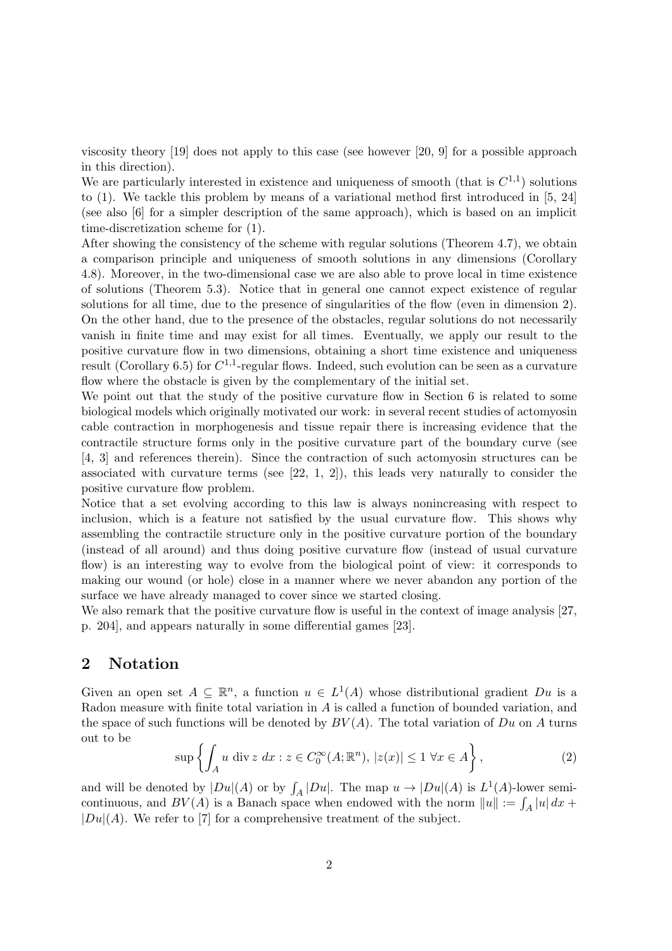viscosity theory [19] does not apply to this case (see however [20, 9] for a possible approach in this direction).

We are particularly interested in existence and uniqueness of smooth (that is  $C^{1,1}$ ) solutions to (1). We tackle this problem by means of a variational method first introduced in [5, 24] (see also [6] for a simpler description of the same approach), which is based on an implicit time-discretization scheme for (1).

After showing the consistency of the scheme with regular solutions (Theorem 4.7), we obtain a comparison principle and uniqueness of smooth solutions in any dimensions (Corollary 4.8). Moreover, in the two-dimensional case we are also able to prove local in time existence of solutions (Theorem 5.3). Notice that in general one cannot expect existence of regular solutions for all time, due to the presence of singularities of the flow (even in dimension 2). On the other hand, due to the presence of the obstacles, regular solutions do not necessarily vanish in finite time and may exist for all times. Eventually, we apply our result to the positive curvature flow in two dimensions, obtaining a short time existence and uniqueness result (Corollary 6.5) for  $C^{1,1}$ -regular flows. Indeed, such evolution can be seen as a curvature flow where the obstacle is given by the complementary of the initial set.

We point out that the study of the positive curvature flow in Section 6 is related to some biological models which originally motivated our work: in several recent studies of actomyosin cable contraction in morphogenesis and tissue repair there is increasing evidence that the contractile structure forms only in the positive curvature part of the boundary curve (see [4, 3] and references therein). Since the contraction of such actomyosin structures can be associated with curvature terms (see  $[22, 1, 2]$ ), this leads very naturally to consider the positive curvature flow problem.

Notice that a set evolving according to this law is always nonincreasing with respect to inclusion, which is a feature not satisfied by the usual curvature flow. This shows why assembling the contractile structure only in the positive curvature portion of the boundary (instead of all around) and thus doing positive curvature flow (instead of usual curvature flow) is an interesting way to evolve from the biological point of view: it corresponds to making our wound (or hole) close in a manner where we never abandon any portion of the surface we have already managed to cover since we started closing.

We also remark that the positive curvature flow is useful in the context of image analysis [27, p. 204], and appears naturally in some differential games [23].

# 2 Notation

Given an open set  $A \subseteq \mathbb{R}^n$ , a function  $u \in L^1(A)$  whose distributional gradient  $Du$  is a Radon measure with finite total variation in A is called a function of bounded variation, and the space of such functions will be denoted by  $BV(A)$ . The total variation of Du on A turns out to be

$$
\sup \left\{ \int_A u \, \text{div } z \, dx : z \in C_0^{\infty}(A; \mathbb{R}^n), \, |z(x)| \le 1 \, \forall x \in A \right\},\tag{2}
$$

and will be denoted by  $|Du|(A)$  or by  $\int_A |Du|$ . The map  $u \to |Du|(A)$  is  $L^1(A)$ -lower semicontinuous, and  $BV(A)$  is a Banach space when endowed with the norm  $||u|| := \int_A |u| dx +$  $|Du|(A)$ . We refer to [7] for a comprehensive treatment of the subject.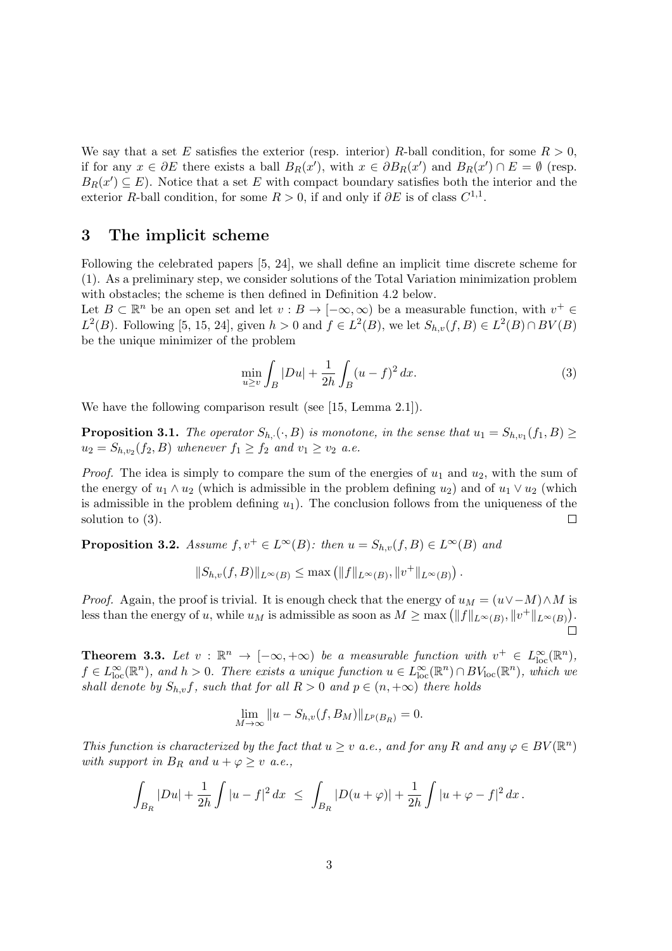We say that a set E satisfies the exterior (resp. interior) R-ball condition, for some  $R > 0$ , if for any  $x \in \partial E$  there exists a ball  $B_R(x')$ , with  $x \in \partial B_R(x')$  and  $B_R(x') \cap E = \emptyset$  (resp.  $B_R(x') \subseteq E$ ). Notice that a set E with compact boundary satisfies both the interior and the exterior R-ball condition, for some  $R > 0$ , if and only if  $\partial E$  is of class  $C^{1,1}$ .

### 3 The implicit scheme

Following the celebrated papers [5, 24], we shall define an implicit time discrete scheme for (1). As a preliminary step, we consider solutions of the Total Variation minimization problem with obstacles; the scheme is then defined in Definition 4.2 below.

Let  $B \subset \mathbb{R}^n$  be an open set and let  $v : B \to [-\infty, \infty)$  be a measurable function, with  $v^+ \in$  $L^2(B)$ . Following [5, 15, 24], given  $h > 0$  and  $f \in L^2(B)$ , we let  $S_{h,v}(f, B) \in L^2(B) \cap BV(B)$ be the unique minimizer of the problem

$$
\min_{u \ge v} \int_B |Du| + \frac{1}{2h} \int_B (u - f)^2 dx.
$$
\n(3)

We have the following comparison result (see [15, Lemma 2.1]).

**Proposition 3.1.** The operator  $S_{h,\cdot}(\cdot, B)$  is monotone, in the sense that  $u_1 = S_{h,v_1}(f_1, B) \geq$  $u_2 = S_{h,v_2}(f_2, B)$  whenever  $f_1 \ge f_2$  and  $v_1 \ge v_2$  a.e.

*Proof.* The idea is simply to compare the sum of the energies of  $u_1$  and  $u_2$ , with the sum of the energy of  $u_1 \wedge u_2$  (which is admissible in the problem defining  $u_2$ ) and of  $u_1 \vee u_2$  (which is admissible in the problem defining  $u_1$ ). The conclusion follows from the uniqueness of the solution to (3).  $\Box$ 

**Proposition 3.2.** Assume  $f, v^+ \in L^{\infty}(B)$ : then  $u = S_{h,v}(f, B) \in L^{\infty}(B)$  and

$$
||S_{h,v}(f,B)||_{L^{\infty}(B)} \leq \max \left( ||f||_{L^{\infty}(B)}, ||v^{+}||_{L^{\infty}(B)} \right).
$$

*Proof.* Again, the proof is trivial. It is enough check that the energy of  $u_M = (u \vee -M) \wedge M$  is less than the energy of u, while  $u_M$  is admissible as soon as  $M \ge \max\left(\|f\|_{L^\infty(B)}, \|v^+\|_{L^\infty(B)}\right)$ .

**Theorem 3.3.** Let  $v : \mathbb{R}^n \to [-\infty, +\infty)$  be a measurable function with  $v^+ \in L^{\infty}_{loc}(\mathbb{R}^n)$ ,  $f \in L^{\infty}_{loc}(\mathbb{R}^n)$ , and  $h > 0$ . There exists a unique function  $u \in L^{\infty}_{loc}(\mathbb{R}^n) \cap BV_{loc}(\mathbb{R}^n)$ , which we shall denote by  $S_{h,v}f$ , such that for all  $R > 0$  and  $p \in (n, +\infty)$  there holds

$$
\lim_{M \to \infty} \|u - S_{h,v}(f, B_M)\|_{L^p(B_R)} = 0.
$$

This function is characterized by the fact that  $u \geq v$  a.e., and for any R and any  $\varphi \in BV(\mathbb{R}^n)$ with support in  $B_R$  and  $u + \varphi \geq v$  a.e.,

$$
\int_{B_R} |Du| + \frac{1}{2h} \int |u-f|^2 \, dx \ \le \ \int_{B_R} |D(u+\varphi)| + \frac{1}{2h} \int |u+\varphi-f|^2 \, dx \, .
$$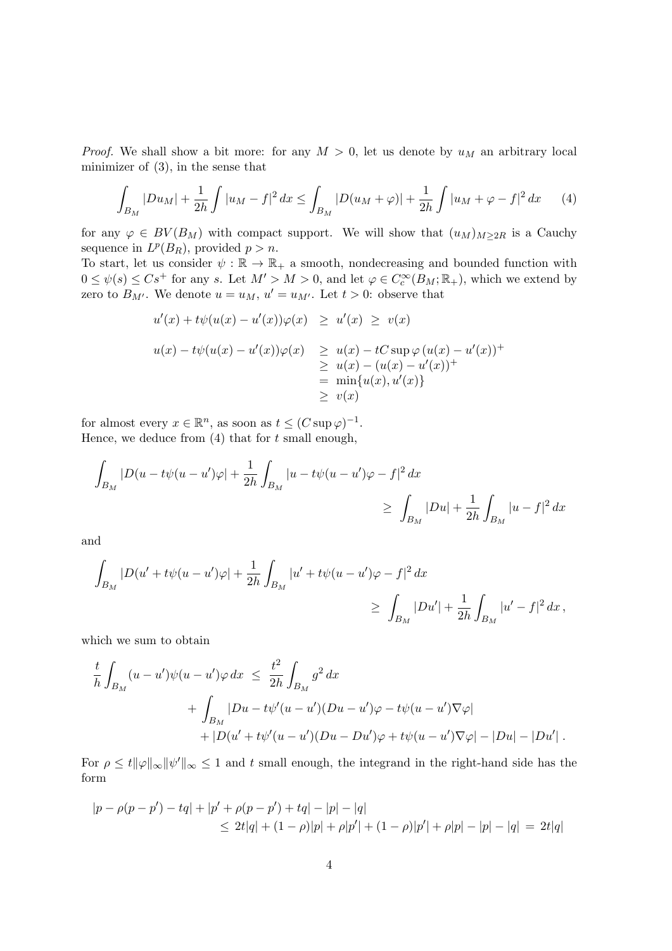*Proof.* We shall show a bit more: for any  $M > 0$ , let us denote by  $u_M$  an arbitrary local minimizer of (3), in the sense that

$$
\int_{B_M} |Du_M| + \frac{1}{2h} \int |u_M - f|^2 \, dx \le \int_{B_M} |D(u_M + \varphi)| + \frac{1}{2h} \int |u_M + \varphi - f|^2 \, dx \tag{4}
$$

for any  $\varphi \in BV(B_M)$  with compact support. We will show that  $(u_M)_{M\geq 2R}$  is a Cauchy sequence in  $L^p(B_R)$ , provided  $p > n$ .

To start, let us consider  $\psi : \mathbb{R} \to \mathbb{R}_+$  a smooth, nondecreasing and bounded function with  $0 \leq \psi(s) \leq Cs^+$  for any s. Let  $M' > M > 0$ , and let  $\varphi \in C_c^{\infty}(B_M; \mathbb{R}_+)$ , which we extend by zero to  $B_{M'}$ . We denote  $u = u_M$ ,  $u' = u_{M'}$ . Let  $t > 0$ : observe that

$$
u'(x) + t\psi(u(x) - u'(x))\varphi(x) \ge u'(x) \ge v(x)
$$
  

$$
u(x) - t\psi(u(x) - u'(x))\varphi(x) \ge u(x) - tC \sup \varphi (u(x) - u'(x))^{+}
$$
  

$$
\ge u(x) - (u(x) - u'(x))^{+}
$$
  

$$
= \min\{u(x), u'(x)\}
$$
  

$$
\ge v(x)
$$

for almost every  $x \in \mathbb{R}^n$ , as soon as  $t \leq (C \sup \varphi)^{-1}$ . Hence, we deduce from  $(4)$  that for t small enough,

$$
\int_{B_M} |D(u - t\psi(u - u')\varphi| + \frac{1}{2h} \int_{B_M} |u - t\psi(u - u')\varphi - f|^2 dx
$$
\n
$$
\geq \int_{B_M} |Du| + \frac{1}{2h} \int_{B_M} |u - f|^2 dx
$$

and

$$
\int_{B_M} |D(u' + t\psi(u - u')\varphi| + \frac{1}{2h} \int_{B_M} |u' + t\psi(u - u')\varphi - f|^2 dx
$$
  
\n
$$
\geq \int_{B_M} |Du'| + \frac{1}{2h} \int_{B_M} |u' - f|^2 dx,
$$

which we sum to obtain

$$
\frac{t}{h} \int_{B_M} (u - u')\psi(u - u')\varphi dx \leq \frac{t^2}{2h} \int_{B_M} g^2 dx \n+ \int_{B_M} |Du - t\psi'(u - u')(Du - u')\varphi - t\psi(u - u')\nabla\varphi| \n+ |D(u' + t\psi'(u - u')(Du - Du')\varphi + t\psi(u - u')\nabla\varphi| - |Du| - |Du'|.
$$

For  $\rho \leq t \|\varphi\|_{\infty} \|\psi'\|_{\infty} \leq 1$  and t small enough, the integrand in the right-hand side has the form

$$
|p - \rho(p - p') - tq| + |p' + \rho(p - p') + tq| - |p| - |q|
$$
  
\n
$$
\leq 2t|q| + (1 - \rho)|p| + \rho|p'| + (1 - \rho)|p'| + \rho|p| - |p| - |q| = 2t|q|
$$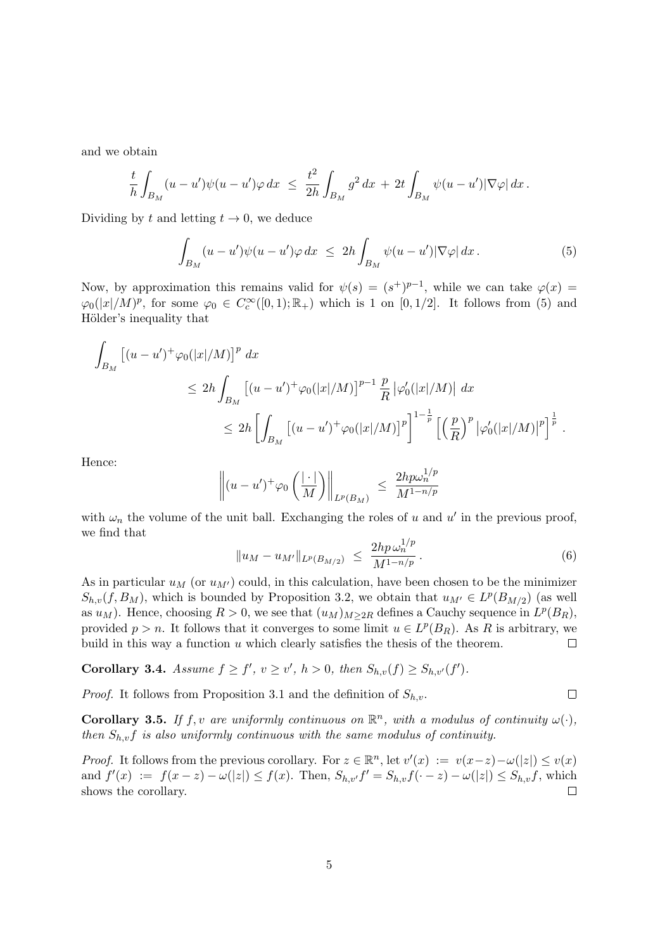and we obtain

$$
\frac{t}{h} \int_{B_M} (u - u') \psi(u - u') \varphi \, dx \ \leq \ \frac{t^2}{2h} \int_{B_M} g^2 \, dx \ + \ 2t \int_{B_M} \psi(u - u') |\nabla \varphi| \, dx \, .
$$

Dividing by t and letting  $t \to 0$ , we deduce

$$
\int_{B_M} (u - u')\psi(u - u')\varphi \, dx \leq 2h \int_{B_M} \psi(u - u')|\nabla \varphi| \, dx. \tag{5}
$$

Now, by approximation this remains valid for  $\psi(s) = (s^+)^{p-1}$ , while we can take  $\varphi(x) =$  $\varphi_0(|x|/M)^p$ , for some  $\varphi_0 \in C_c^{\infty}([0,1); \mathbb{R}_+)$  which is 1 on  $[0,1/2]$ . It follows from (5) and Hölder's inequality that

$$
\int_{B_M} \left[ (u - u')^+ \varphi_0(|x|/M) \right]^p dx
$$
\n
$$
\leq 2h \int_{B_M} \left[ (u - u')^+ \varphi_0(|x|/M) \right]^{p-1} \frac{p}{R} \left| \varphi'_0(|x|/M) \right| dx
$$
\n
$$
\leq 2h \left[ \int_{B_M} \left[ (u - u')^+ \varphi_0(|x|/M) \right]^p \right]^{1 - \frac{1}{p}} \left[ \left( \frac{p}{R} \right)^p |\varphi'_0(|x|/M) |^p \right]^{\frac{1}{p}}.
$$

Hence:

$$
\left\| (u - u')^+ \varphi_0 \left( \frac{| \cdot |}{M} \right) \right\|_{L^p(B_M)} \leq \frac{2hp\omega_n^{1/p}}{M^{1 - n/p}}
$$

with  $\omega_n$  the volume of the unit ball. Exchanging the roles of u and u' in the previous proof, we find that

$$
||u_M - u_{M'}||_{L^p(B_{M/2})} \le \frac{2hp \,\omega_n^{1/p}}{M^{1-n/p}}.
$$
\n(6)

 $\Box$ 

As in particular  $u_M$  (or  $u_{M'}$ ) could, in this calculation, have been chosen to be the minimizer  $S_{h,v}(f, B_M)$ , which is bounded by Proposition 3.2, we obtain that  $u_{M'} \in L^p(B_{M/2})$  (as well as  $u_M$ ). Hence, choosing  $R > 0$ , we see that  $(u_M)_{M \geq 2R}$  defines a Cauchy sequence in  $L^p(B_R)$ , provided  $p > n$ . It follows that it converges to some limit  $u \in L^p(B_R)$ . As R is arbitrary, we build in this way a function  $u$  which clearly satisfies the thesis of the theorem.  $\Box$ 

Corollary 3.4. Assume  $f \ge f'$ ,  $v \ge v'$ ,  $h > 0$ , then  $S_{h,v}(f) \ge S_{h,v'}(f')$ .

*Proof.* It follows from Proposition 3.1 and the definition of  $S_{h,v}$ .

**Corollary 3.5.** If f, v are uniformly continuous on  $\mathbb{R}^n$ , with a modulus of continuity  $\omega(\cdot)$ , then  $S_{h,v}f$  is also uniformly continuous with the same modulus of continuity.

*Proof.* It follows from the previous corollary. For  $z \in \mathbb{R}^n$ , let  $v'(x) := v(x-z) - \omega(|z|) \le v(x)$ and  $f'(x) := f(x - z) - \omega(|z|) \le f(x)$ . Then,  $S_{h,v'}f' = S_{h,v}f(-z) - \omega(|z|) \le S_{h,v}f$ , which shows the corollary.  $\Box$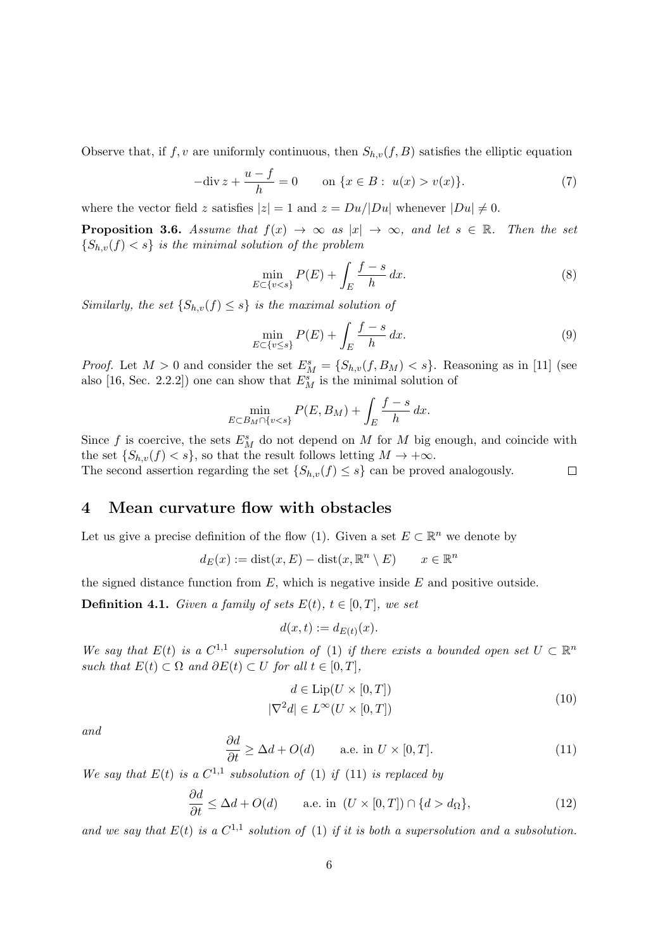Observe that, if  $f, v$  are uniformly continuous, then  $S_{h,v}(f, B)$  satisfies the elliptic equation

$$
-\text{div}\,z + \frac{u - f}{h} = 0 \qquad \text{on } \{x \in B : \ u(x) > v(x)\}. \tag{7}
$$

where the vector field z satisfies  $|z| = 1$  and  $z = Du/|Du|$  whenever  $|Du| \neq 0$ .

**Proposition 3.6.** Assume that  $f(x) \to \infty$  as  $|x| \to \infty$ , and let  $s \in \mathbb{R}$ . Then the set  ${S_{h,v}(f) < s}$  is the minimal solution of the problem

$$
\min_{E \subset \{v < s\}} P(E) + \int_{E} \frac{f - s}{h} \, dx. \tag{8}
$$

Similarly, the set  $\{S_{h,v}(f) \leq s\}$  is the maximal solution of

$$
\min_{E \subset \{v \le s\}} P(E) + \int_{E} \frac{f - s}{h} dx.
$$
\n(9)

*Proof.* Let  $M > 0$  and consider the set  $E_M^s = \{S_{h,v}(f, B_M) < s\}$ . Reasoning as in [11] (see also [16, Sec. 2.2.2]) one can show that  $E_M^s$  is the minimal solution of

$$
\min_{E \subset B_M \cap \{v < s\}} P(E, B_M) + \int_E \frac{f - s}{h} \, dx.
$$

Since f is coercive, the sets  $E_M^s$  do not depend on M for M big enough, and coincide with the set  $\{S_{h,v}(f) < s\}$ , so that the result follows letting  $M \to +\infty$ . The second assertion regarding the set  $\{S_{h,v}(f) \leq s\}$  can be proved analogously.  $\Box$ 

# 4 Mean curvature flow with obstacles

Let us give a precise definition of the flow (1). Given a set  $E \subset \mathbb{R}^n$  we denote by

$$
d_E(x) := \text{dist}(x, E) - \text{dist}(x, \mathbb{R}^n \setminus E) \qquad x \in \mathbb{R}^n
$$

the signed distance function from  $E$ , which is negative inside  $E$  and positive outside.

**Definition 4.1.** Given a family of sets  $E(t)$ ,  $t \in [0, T]$ , we set

$$
d(x,t) := d_{E(t)}(x).
$$

We say that  $E(t)$  is a  $C^{1,1}$  supersolution of (1) if there exists a bounded open set  $U \subset \mathbb{R}^n$ such that  $E(t) \subset \Omega$  and  $\partial E(t) \subset U$  for all  $t \in [0, T]$ ,

$$
d \in \text{Lip}(U \times [0, T])
$$
  

$$
|\nabla^2 d| \in L^{\infty}(U \times [0, T])
$$
 (10)

and

$$
\frac{\partial d}{\partial t} \ge \Delta d + O(d) \qquad \text{a.e. in } U \times [0, T]. \tag{11}
$$

We say that  $E(t)$  is a  $C^{1,1}$  subsolution of (1) if (11) is replaced by

$$
\frac{\partial d}{\partial t} \le \Delta d + O(d) \qquad \text{a.e. in } (U \times [0, T]) \cap \{d > d_{\Omega}\},\tag{12}
$$

and we say that  $E(t)$  is a  $C^{1,1}$  solution of (1) if it is both a supersolution and a subsolution.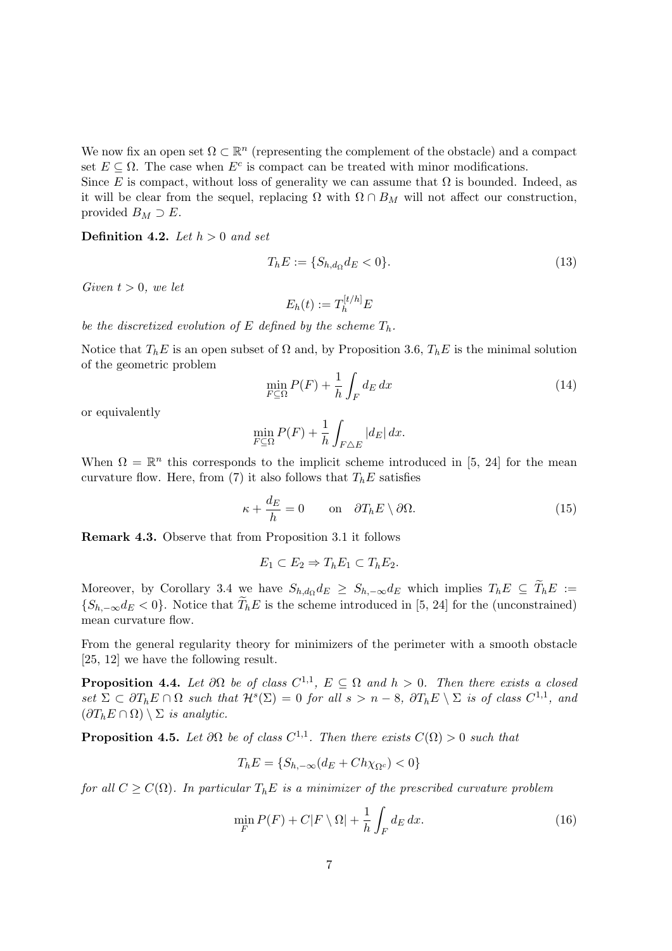We now fix an open set  $\Omega \subset \mathbb{R}^n$  (representing the complement of the obstacle) and a compact set  $E \subseteq \Omega$ . The case when  $E^c$  is compact can be treated with minor modifications.

Since E is compact, without loss of generality we can assume that  $\Omega$  is bounded. Indeed, as it will be clear from the sequel, replacing  $\Omega$  with  $\Omega \cap B_M$  will not affect our construction, provided  $B_M \supset E$ .

**Definition 4.2.** Let  $h > 0$  and set

$$
T_h E := \{ S_{h,d_{\Omega}} d_E < 0 \}.
$$
\n(13)

Given  $t > 0$ , we let

$$
E_h(t) := T_h^{[t/h]} E
$$

be the discretized evolution of E defined by the scheme  $T_h$ .

Notice that  $T_h E$  is an open subset of  $\Omega$  and, by Proposition 3.6,  $T_h E$  is the minimal solution of the geometric problem

$$
\min_{F \subseteq \Omega} P(F) + \frac{1}{h} \int_{F} dE \, dx \tag{14}
$$

or equivalently

$$
\min_{F \subseteq \Omega} P(F) + \frac{1}{h} \int_{F \triangle E} |d_E| dx.
$$

When  $\Omega = \mathbb{R}^n$  this corresponds to the implicit scheme introduced in [5, 24] for the mean curvature flow. Here, from (7) it also follows that  $T_h E$  satisfies

$$
\kappa + \frac{d_E}{h} = 0 \qquad \text{on} \quad \partial T_h E \setminus \partial \Omega. \tag{15}
$$

Remark 4.3. Observe that from Proposition 3.1 it follows

$$
E_1 \subset E_2 \Rightarrow T_h E_1 \subset T_h E_2.
$$

Moreover, by Corollary 3.4 we have  $S_{h,d_{\Omega}}d_E \geq S_{h,-\infty}d_E$  which implies  $T_hE \subseteq T_hE :=$  ${S_{h,-\infty}d_E < 0}$ . Notice that  $T_hE$  is the scheme introduced in [5, 24] for the (unconstrained) mean curvature flow.

From the general regularity theory for minimizers of the perimeter with a smooth obstacle [25, 12] we have the following result.

**Proposition 4.4.** Let  $\partial\Omega$  be of class  $C^{1,1}$ ,  $E \subseteq \Omega$  and  $h > 0$ . Then there exists a closed set  $\Sigma \subset \partial T_h E \cap \Omega$  such that  $\mathcal{H}^s(\Sigma) = 0$  for all  $s > n - 8$ ,  $\partial T_h E \setminus \Sigma$  is of class  $C^{1,1}$ , and  $(\partial T_h E \cap \Omega) \setminus \Sigma$  is analytic.

**Proposition 4.5.** Let  $\partial\Omega$  be of class  $C^{1,1}$ . Then there exists  $C(\Omega) > 0$  such that

$$
T_h E = \{ S_{h, -\infty} (d_E + Ch \chi_{\Omega^c}) < 0 \}
$$

for all  $C \geq C(\Omega)$ . In particular  $T_h E$  is a minimizer of the prescribed curvature problem

$$
\min_{F} P(F) + C|F \setminus \Omega| + \frac{1}{h} \int_{F} d_E dx.
$$
\n(16)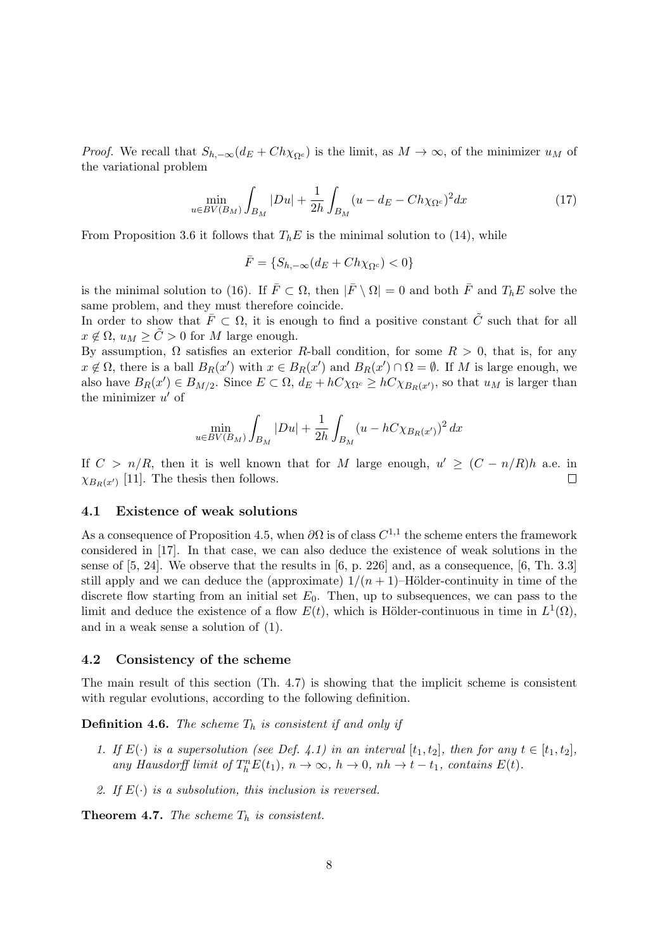*Proof.* We recall that  $S_{h,-\infty}(d_E + Ch\chi_{\Omega^c})$  is the limit, as  $M \to \infty$ , of the minimizer  $u_M$  of the variational problem

$$
\min_{u \in BV(B_M)} \int_{B_M} |Du| + \frac{1}{2h} \int_{B_M} (u - d_E - Ch \chi_{\Omega^c})^2 dx \tag{17}
$$

From Proposition 3.6 it follows that  $T_hE$  is the minimal solution to (14), while

$$
\bar{F} = \{S_{h, -\infty}(d_E + Ch\chi_{\Omega^c}) < 0\}
$$

is the minimal solution to (16). If  $\bar{F} \subset \Omega$ , then  $|\bar{F} \setminus \Omega| = 0$  and both  $\bar{F}$  and  $T_h E$  solve the same problem, and they must therefore coincide.

In order to show that  $\overline{F} \subset \Omega$ , it is enough to find a positive constant  $\tilde{C}$  such that for all  $x \notin \Omega$ ,  $u_M \ge C > 0$  for M large enough.

By assumption,  $\Omega$  satisfies an exterior R-ball condition, for some  $R > 0$ , that is, for any  $x \notin \Omega$ , there is a ball  $B_R(x')$  with  $x \in B_R(x')$  and  $B_R(x') \cap \Omega = \emptyset$ . If M is large enough, we also have  $B_R(x') \in B_{M/2}$ . Since  $E \subset \Omega$ ,  $d_E + hC\chi_{\Omega^c} \ge hC\chi_{B_R(x')}$ , so that  $u_M$  is larger than the minimizer  $u'$  of

$$
\min_{u \in BV(B_M)} \int_{B_M} |Du| + \frac{1}{2h} \int_{B_M} (u - hC \chi_{B_R(x)})^2 dx
$$

If  $C > n/R$ , then it is well known that for M large enough,  $u' \geq (C - n/R)h$  a.e. in  $\chi_{B_R(x')}$  [11]. The thesis then follows.  $\Box$ 

#### 4.1 Existence of weak solutions

As a consequence of Proposition 4.5, when  $\partial\Omega$  is of class  $C^{1,1}$  the scheme enters the framework considered in [17]. In that case, we can also deduce the existence of weak solutions in the sense of  $[5, 24]$ . We observe that the results in  $[6, p. 226]$  and, as a consequence,  $[6, Th. 3.3]$ still apply and we can deduce the (approximate)  $1/(n+1)$ –Hölder-continuity in time of the discrete flow starting from an initial set  $E_0$ . Then, up to subsequences, we can pass to the limit and deduce the existence of a flow  $E(t)$ , which is Hölder-continuous in time in  $L^1(\Omega)$ , and in a weak sense a solution of (1).

#### 4.2 Consistency of the scheme

The main result of this section (Th. 4.7) is showing that the implicit scheme is consistent with regular evolutions, according to the following definition.

**Definition 4.6.** The scheme  $T_h$  is consistent if and only if

- 1. If  $E(\cdot)$  is a supersolution (see Def. 4.1) in an interval  $[t_1, t_2]$ , then for any  $t \in [t_1, t_2]$ , any Hausdorff limit of  $T_h^n E(t_1)$ ,  $n \to \infty$ ,  $h \to 0$ ,  $nh \to t - t_1$ , contains  $E(t)$ .
- 2. If  $E(\cdot)$  is a subsolution, this inclusion is reversed.

**Theorem 4.7.** The scheme  $T_h$  is consistent.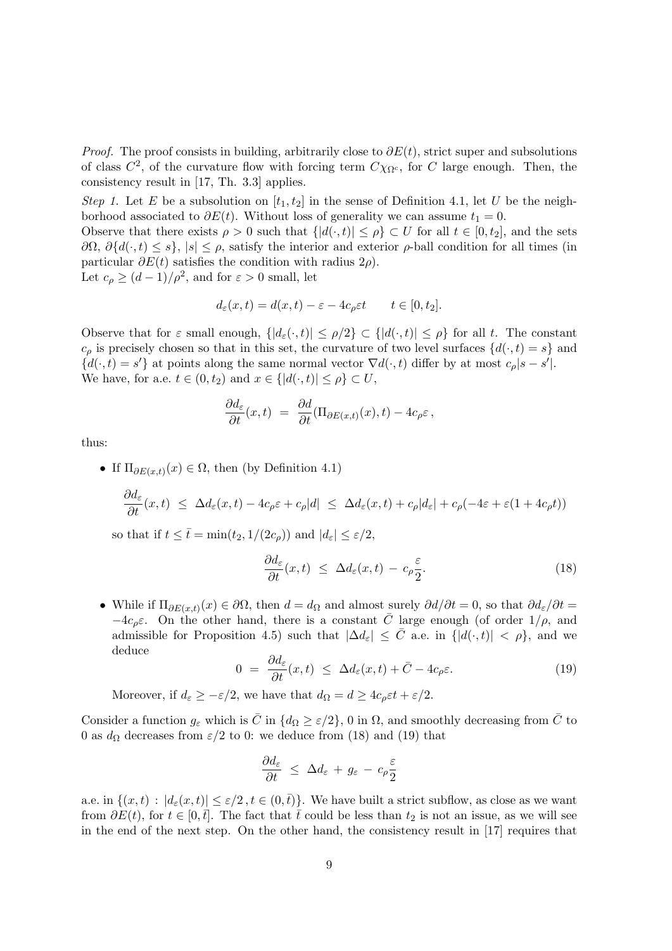*Proof.* The proof consists in building, arbitrarily close to  $\partial E(t)$ , strict super and subsolutions of class  $C^2$ , of the curvature flow with forcing term  $C\chi_{\Omega^c}$ , for C large enough. Then, the consistency result in [17, Th. 3.3] applies.

Step 1. Let E be a subsolution on  $[t_1, t_2]$  in the sense of Definition 4.1, let U be the neighborhood associated to  $\partial E(t)$ . Without loss of generality we can assume  $t_1 = 0$ .

Observe that there exists  $\rho > 0$  such that  $\{|d(\cdot,t)| \leq \rho\} \subset U$  for all  $t \in [0,t_2]$ , and the sets  $\partial\Omega$ ,  $\partial\{d(\cdot,t)\leq s\}$ ,  $|s|\leq\rho$ , satisfy the interior and exterior  $\rho$ -ball condition for all times (in particular  $\partial E(t)$  satisfies the condition with radius 2 $\rho$ ). Let  $c_{\rho} \ge (d-1)/\rho^2$ , and for  $\varepsilon > 0$  small, let

$$
d_{\varepsilon}(x,t) = d(x,t) - \varepsilon - 4c_{\rho}\varepsilon t \qquad t \in [0, t_2].
$$

Observe that for  $\varepsilon$  small enough,  $\{|d_{\varepsilon}(\cdot,t)| \leq \rho/2\} \subset \{|d(\cdot,t)| \leq \rho\}$  for all t. The constant  $c_{\rho}$  is precisely chosen so that in this set, the curvature of two level surfaces  $\{d(\cdot,t)=s\}$  and  $\{d(\cdot,t)=s'\}$  at points along the same normal vector  $\nabla d(\cdot,t)$  differ by at most  $c_\rho|s-s'|$ . We have, for a.e.  $t \in (0, t_2)$  and  $x \in \{ |d(\cdot, t)| \le \rho \} \subset U$ ,

$$
\frac{\partial d_{\varepsilon}}{\partial t}(x,t) = \frac{\partial d}{\partial t}(\Pi_{\partial E(x,t)}(x),t) - 4c_{\rho}\varepsilon,
$$

thus:

• If  $\Pi_{\partial E(x,t)}(x) \in \Omega$ , then (by Definition 4.1)  $\frac{\partial d_{\varepsilon}}{\partial t}(x,t) \leq \Delta d_{\varepsilon}(x,t) - 4c_{\rho}\varepsilon + c_{\rho}|d| \leq \Delta d_{\varepsilon}(x,t) + c_{\rho}|d_{\varepsilon}| + c_{\rho}(-4\varepsilon + \varepsilon(1+4c_{\rho}t))$ 

so that if  $t \leq \bar{t} = \min(t_2, 1/(2c_o))$  and  $|d_{\varepsilon}| \leq \varepsilon/2$ ,

$$
\frac{\partial d_{\varepsilon}}{\partial t}(x,t) \leq \Delta d_{\varepsilon}(x,t) - c_{\rho} \frac{\varepsilon}{2}.
$$
\n(18)

• While if  $\Pi_{\partial E(x,t)}(x) \in \partial \Omega$ , then  $d = d_{\Omega}$  and almost surely  $\partial d/\partial t = 0$ , so that  $\partial d_{\varepsilon}/\partial t =$  $-4c_\rho\varepsilon$ . On the other hand, there is a constant  $\overline{C}$  large enough (of order 1/ $\rho$ , and admissible for Proposition 4.5) such that  $|\Delta d_{\varepsilon}| \leq \overline{C}$  a.e. in  $\{|d(\cdot,t)| < \rho\}$ , and we deduce

$$
0 = \frac{\partial d_{\varepsilon}}{\partial t}(x, t) \leq \Delta d_{\varepsilon}(x, t) + \bar{C} - 4c_{\rho} \varepsilon. \tag{19}
$$

Moreover, if  $d_{\varepsilon} \geq -\varepsilon/2$ , we have that  $d_{\Omega} = d \geq 4c_{\rho} \varepsilon t + \varepsilon/2$ .

Consider a function  $g_{\varepsilon}$  which is  $\bar{C}$  in  $\{d_{\Omega} \geq \varepsilon/2\}$ , 0 in  $\Omega$ , and smoothly decreasing from  $\bar{C}$  to 0 as  $d_{\Omega}$  decreases from  $\varepsilon/2$  to 0: we deduce from (18) and (19) that

$$
\frac{\partial d_{\varepsilon}}{\partial t} \leq \Delta d_{\varepsilon} + g_{\varepsilon} - c_{\rho} \frac{\varepsilon}{2}
$$

a.e. in  $\{(x,t): |d_{\varepsilon}(x,t)| \leq \varepsilon/2, t \in (0,\bar{t})\}$ . We have built a strict subflow, as close as we want from  $\partial E(t)$ , for  $t \in [0, \bar{t}]$ . The fact that  $\bar{t}$  could be less than  $t_2$  is not an issue, as we will see in the end of the next step. On the other hand, the consistency result in [17] requires that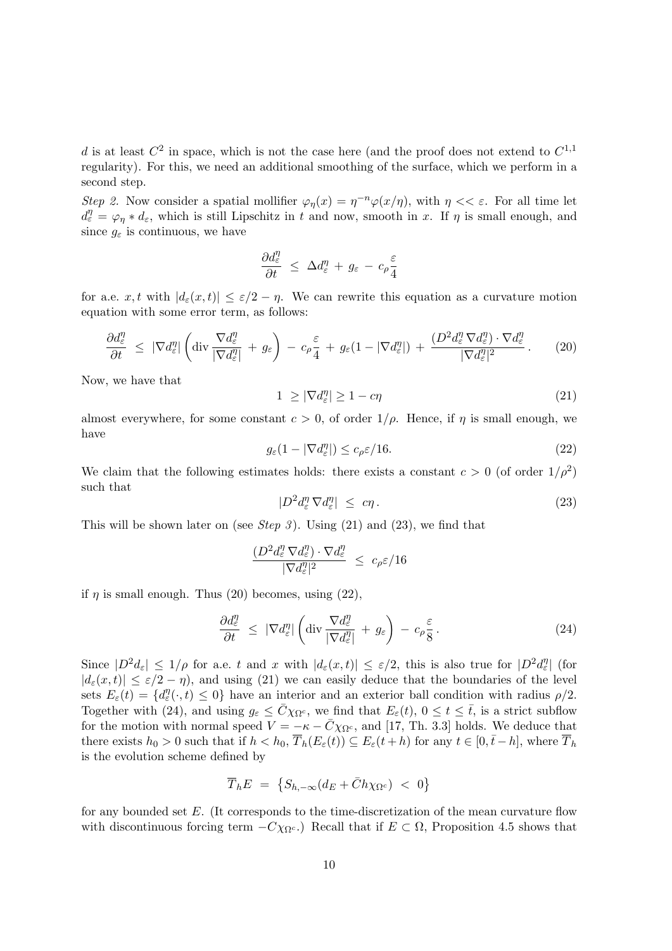d is at least  $C^2$  in space, which is not the case here (and the proof does not extend to  $C^{1,1}$ regularity). For this, we need an additional smoothing of the surface, which we perform in a second step.

Step 2. Now consider a spatial mollifier  $\varphi_{\eta}(x) = \eta^{-n} \varphi(x/\eta)$ , with  $\eta \ll \varepsilon$ . For all time let  $d_{\varepsilon}^{\eta} = \varphi_{\eta} * d_{\varepsilon}$ , which is still Lipschitz in t and now, smooth in x. If  $\eta$  is small enough, and since  $g_{\varepsilon}$  is continuous, we have

$$
\frac{\partial d^{\eta}_{\varepsilon}}{\partial t} \leq \Delta d^{\eta}_{\varepsilon} + g_{\varepsilon} - c_{\rho} \frac{\varepsilon}{4}
$$

for a.e.  $x, t$  with  $|d_{\varepsilon}(x, t)| \leq \varepsilon/2 - \eta$ . We can rewrite this equation as a curvature motion equation with some error term, as follows:

$$
\frac{\partial d_{\varepsilon}^{\eta}}{\partial t} \leq |\nabla d_{\varepsilon}^{\eta}| \left( \text{div} \frac{\nabla d_{\varepsilon}^{\eta}}{|\nabla d_{\varepsilon}^{\eta}|} + g_{\varepsilon} \right) - c_{\rho} \frac{\varepsilon}{4} + g_{\varepsilon} (1 - |\nabla d_{\varepsilon}^{\eta}|) + \frac{(D^2 d_{\varepsilon}^{\eta} \nabla d_{\varepsilon}^{\eta}) \cdot \nabla d_{\varepsilon}^{\eta}}{|\nabla d_{\varepsilon}^{\eta}|^2} \,. \tag{20}
$$

Now, we have that

$$
1 \ge |\nabla d_{\varepsilon}^{\eta}| \ge 1 - c\eta \tag{21}
$$

almost everywhere, for some constant  $c > 0$ , of order  $1/\rho$ . Hence, if  $\eta$  is small enough, we have

$$
g_{\varepsilon}(1 - |\nabla d_{\varepsilon}^{\eta}|) \le c_{\rho} \varepsilon / 16. \tag{22}
$$

We claim that the following estimates holds: there exists a constant  $c > 0$  (of order  $1/\rho^2$ ) such that

$$
|D^2 d_{\varepsilon}^{\eta} \nabla d_{\varepsilon}^{\eta}| \leq c\eta. \tag{23}
$$

This will be shown later on (see Step 3). Using  $(21)$  and  $(23)$ , we find that

$$
\frac{(D^2 d_{\varepsilon}^{\eta} \nabla d_{\varepsilon}^{\eta}) \cdot \nabla d_{\varepsilon}^{\eta}}{|\nabla d_{\varepsilon}^{\eta}|^2} \leq c_{\rho} \varepsilon / 16
$$

if  $\eta$  is small enough. Thus (20) becomes, using (22),

$$
\frac{\partial d_{\varepsilon}^{\eta}}{\partial t} \leq |\nabla d_{\varepsilon}^{\eta}| \left( \text{div} \frac{\nabla d_{\varepsilon}^{\eta}}{|\nabla d_{\varepsilon}^{\eta}|} + g_{\varepsilon} \right) - c_{\rho} \frac{\varepsilon}{8}.
$$
\n(24)

Since  $|D^2d_{\varepsilon}| \leq 1/\rho$  for a.e. t and x with  $|d_{\varepsilon}(x,t)| \leq \varepsilon/2$ , this is also true for  $|D^2d_{\varepsilon}^{\eta}|$  (for  $|d_{\varepsilon}(x,t)| \leq \varepsilon/2 - \eta$ , and using (21) we can easily deduce that the boundaries of the level sets  $E_{\varepsilon}(t) = \{d_{\varepsilon}^{\eta}(\cdot,t) \leq 0\}$  have an interior and an exterior ball condition with radius  $\rho/2$ . Together with (24), and using  $g_{\varepsilon} \leq \bar{C} \chi_{\Omega^c}$ , we find that  $E_{\varepsilon}(t)$ ,  $0 \leq t \leq \bar{t}$ , is a strict subflow for the motion with normal speed  $V = -\kappa - \bar{C}\chi_{\Omega^c}$ , and [17, Th. 3.3] holds. We deduce that there exists  $h_0 > 0$  such that if  $h < h_0$ ,  $\overline{T}_h(E_\varepsilon(t)) \subseteq E_\varepsilon(t+h)$  for any  $t \in [0,\bar{t}-h]$ , where  $\overline{T}_h$ is the evolution scheme defined by

$$
\overline{T}_h E = \{ S_{h,-\infty} (d_E + \bar{C} h \chi_{\Omega^c}) \; < \; 0 \}
$$

for any bounded set E. (It corresponds to the time-discretization of the mean curvature flow with discontinuous forcing term  $-C\chi_{\Omega^c}$ .) Recall that if  $E \subset \Omega$ , Proposition 4.5 shows that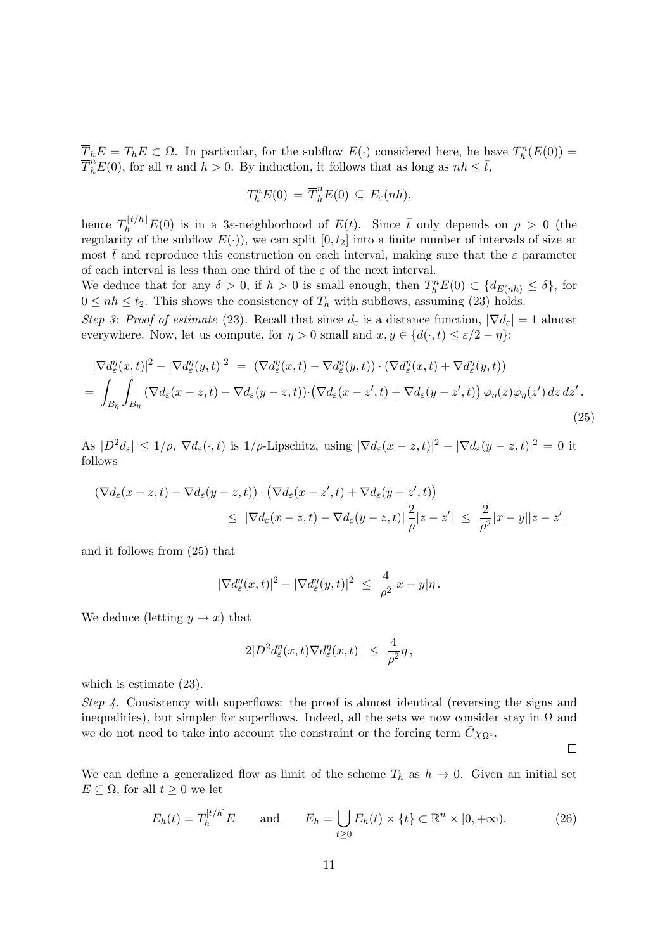$\overline{T}_h E = T_h E \subset \Omega$ . In particular, for the subflow  $E(\cdot)$  considered here, he have  $T_h^n(E(0)) =$  $\overline{T}_{h}^{n}E(0)$ , for all n and  $h > 0$ . By induction, it follows that as long as  $nh \leq \overline{t}$ ,

$$
T_h^n E(0) = \overline{T}_h^n E(0) \subseteq E_{\varepsilon}(nh),
$$

hence  $T_h^{[t/h]}E(0)$  is in a 3 $\varepsilon$ -neighborhood of  $E(t)$ . Since  $\bar{t}$  only depends on  $\rho > 0$  (the regularity of the subflow  $E(.)$ , we can split  $[0, t_2]$  into a finite number of intervals of size at most  $\bar{t}$  and reproduce this construction on each interval, making sure that the  $\varepsilon$  parameter of each interval is less than one third of the  $\varepsilon$  of the next interval.

We deduce that for any  $\delta > 0$ , if  $h > 0$  is small enough, then  $T_h^n E(0) \subset \{d_{E(nh)} \leq \delta\}$ , for  $0 \le nh \le t_2$ . This shows the consistency of  $T_h$  with subflows, assuming (23) holds.

Step 3: Proof of estimate (23). Recall that since  $d_{\varepsilon}$  is a distance function,  $|\nabla d_{\varepsilon}| = 1$  almost everywhere. Now, let us compute, for  $\eta > 0$  small and  $x, y \in \{d(\cdot, t) \leq \varepsilon/2 - \eta\}$ :

$$
|\nabla d_{\varepsilon}^{\eta}(x,t)|^{2} - |\nabla d_{\varepsilon}^{\eta}(y,t)|^{2} = (\nabla d_{\varepsilon}^{\eta}(x,t) - \nabla d_{\varepsilon}^{\eta}(y,t)) \cdot (\nabla d_{\varepsilon}^{\eta}(x,t) + \nabla d_{\varepsilon}^{\eta}(y,t))
$$
  
= 
$$
\int_{B_{\eta}} \int_{B_{\eta}} (\nabla d_{\varepsilon}(x-z,t) - \nabla d_{\varepsilon}(y-z,t)) \cdot (\nabla d_{\varepsilon}(x-z',t) + \nabla d_{\varepsilon}(y-z',t)) \varphi_{\eta}(z) \varphi_{\eta}(z') dz dz'.
$$
 (25)

As  $|D^2d_{\varepsilon}| \leq 1/\rho$ ,  $\nabla d_{\varepsilon}(\cdot,t)$  is  $1/\rho$ -Lipschitz, using  $|\nabla d_{\varepsilon}(x-z,t)|^2 - |\nabla d_{\varepsilon}(y-z,t)|^2 = 0$  it follows

$$
\begin{aligned} \left( \nabla d_{\varepsilon}(x-z,t) - \nabla d_{\varepsilon}(y-z,t) \right) \cdot \left( \nabla d_{\varepsilon}(x-z',t) + \nabla d_{\varepsilon}(y-z',t) \right) \\ &\leq \left| \nabla d_{\varepsilon}(x-z,t) - \nabla d_{\varepsilon}(y-z,t) \right| \frac{2}{\rho} |z-z'| \leq \frac{2}{\rho^2} |x-y| |z-z'| \end{aligned}
$$

and it follows from (25) that

$$
|\nabla d_{\varepsilon}^{\eta}(x,t)|^2 - |\nabla d_{\varepsilon}^{\eta}(y,t)|^2 \ \leq \ \frac{4}{\rho^2}|x-y|\eta\,.
$$

We deduce (letting  $y \to x$ ) that

$$
2|D^2 d_{\varepsilon}^{\eta}(x,t) \nabla d_{\varepsilon}^{\eta}(x,t)| \ \leq \ \frac{4}{\rho^2} \eta \,,
$$

which is estimate  $(23)$ .

Step 4. Consistency with superflows: the proof is almost identical (reversing the signs and inequalities), but simpler for superflows. Indeed, all the sets we now consider stay in  $\Omega$  and we do not need to take into account the constraint or the forcing term  $C_{\chi_{\Omega^c}}$ .

 $\Box$ 

We can define a generalized flow as limit of the scheme  $T_h$  as  $h \to 0$ . Given an initial set  $E \subseteq \Omega$ , for all  $t \geq 0$  we let

$$
E_h(t) = T_h^{[t/h]} E \qquad \text{and} \qquad E_h = \bigcup_{t \ge 0} E_h(t) \times \{t\} \subset \mathbb{R}^n \times [0, +\infty). \tag{26}
$$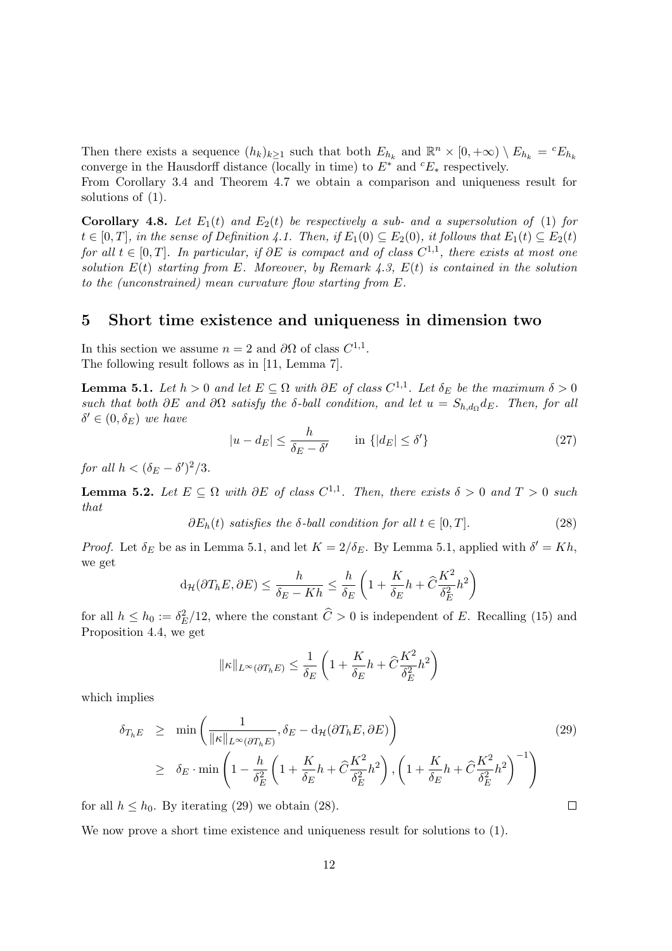Then there exists a sequence  $(h_k)_{k\geq 1}$  such that both  $E_{h_k}$  and  $\mathbb{R}^n \times [0, +\infty) \setminus E_{h_k} = {}^cE_{h_k}$ converge in the Hausdorff distance (locally in time) to  $E^*$  and  ${}^cE_*$  respectively.

From Corollary 3.4 and Theorem 4.7 we obtain a comparison and uniqueness result for solutions of (1).

Corollary 4.8. Let  $E_1(t)$  and  $E_2(t)$  be respectively a sub- and a supersolution of (1) for  $t \in [0, T]$ , in the sense of Definition 4.1. Then, if  $E_1(0) \subseteq E_2(0)$ , it follows that  $E_1(t) \subseteq E_2(t)$ for all  $t \in [0,T]$ . In particular, if  $\partial E$  is compact and of class  $C^{1,1}$ , there exists at most one solution  $E(t)$  starting from E. Moreover, by Remark 4.3,  $E(t)$  is contained in the solution to the (unconstrained) mean curvature flow starting from E.

# 5 Short time existence and uniqueness in dimension two

In this section we assume  $n = 2$  and  $\partial\Omega$  of class  $C^{1,1}$ . The following result follows as in [11, Lemma 7].

**Lemma 5.1.** Let  $h > 0$  and let  $E \subseteq \Omega$  with  $\partial E$  of class  $C^{1,1}$ . Let  $\delta_E$  be the maximum  $\delta > 0$ such that both  $\partial E$  and  $\partial \Omega$  satisfy the  $\delta$ -ball condition, and let  $u = S_{h,d_{\Omega}}d_E$ . Then, for all  $\delta' \in (0, \delta_E)$  we have

$$
|u - d_E| \le \frac{h}{\delta_E - \delta'} \qquad \text{in } \{|d_E| \le \delta'\} \tag{27}
$$

for all  $h < (\delta_E - \delta')^2/3$ .

**Lemma 5.2.** Let  $E \subseteq \Omega$  with  $\partial E$  of class  $C^{1,1}$ . Then, there exists  $\delta > 0$  and  $T > 0$  such that

 $\partial E_h(t)$  satisfies the  $\delta$ -ball condition for all  $t \in [0, T]$ . (28)

*Proof.* Let  $\delta_E$  be as in Lemma 5.1, and let  $K = 2/\delta_E$ . By Lemma 5.1, applied with  $\delta' = Kh$ , we get

$$
d_{\mathcal{H}}(\partial T_h E, \partial E) \leq \frac{h}{\delta_E - Kh} \leq \frac{h}{\delta_E} \left( 1 + \frac{K}{\delta_E} h + \hat{C} \frac{K^2}{\delta_E^2} h^2 \right)
$$

for all  $h \leq h_0 := \delta_E^2/12$ , where the constant  $\hat{C} > 0$  is independent of E. Recalling (15) and Proposition 4.4, we get

$$
\|\kappa\|_{L^{\infty}(\partial T_h E)} \le \frac{1}{\delta_E} \left( 1 + \frac{K}{\delta_E} h + \hat{C} \frac{K^2}{\delta_E^2} h^2 \right)
$$

which implies

$$
\delta_{T_h E} \geq \min \left( \frac{1}{\|\kappa\|_{L^\infty(\partial T_h E)}}, \delta_E - d_{\mathcal{H}}(\partial T_h E, \partial E) \right)
$$
\n
$$
\geq \delta_E \cdot \min \left( 1 - \frac{h}{\delta_E^2} \left( 1 + \frac{K}{\delta_E} h + \hat{C} \frac{K^2}{\delta_E^2} h^2 \right), \left( 1 + \frac{K}{\delta_E} h + \hat{C} \frac{K^2}{\delta_E^2} h^2 \right)^{-1} \right)
$$
\n(29)

 $\Box$ 

for all  $h \leq h_0$ . By iterating (29) we obtain (28).

We now prove a short time existence and uniqueness result for solutions to (1).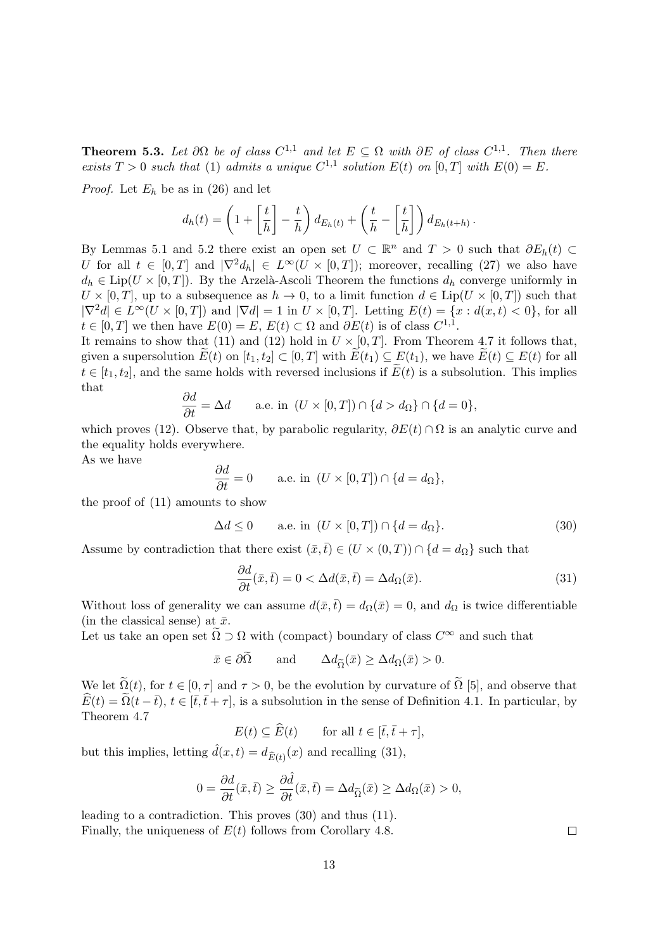**Theorem 5.3.** Let  $\partial\Omega$  be of class  $C^{1,1}$  and let  $E \subseteq \Omega$  with  $\partial E$  of class  $C^{1,1}$ . Then there exists  $T > 0$  such that (1) admits a unique  $C^{1,1}$  solution  $E(t)$  on  $[0,T]$  with  $E(0) = E$ .

*Proof.* Let  $E_h$  be as in (26) and let

$$
d_h(t) = \left(1 + \left[\frac{t}{h}\right] - \frac{t}{h}\right) d_{E_h(t)} + \left(\frac{t}{h} - \left[\frac{t}{h}\right]\right) d_{E_h(t+h)}
$$

By Lemmas 5.1 and 5.2 there exist an open set  $U \subset \mathbb{R}^n$  and  $T > 0$  such that  $\partial E_h(t) \subset$ U for all  $t \in [0, T]$  and  $|\nabla^2 d_h| \in L^{\infty}(U \times [0, T])$ ; moreover, recalling (27) we also have  $d_h \in \text{Lip}(U \times [0,T])$ . By the Arzelà-Ascoli Theorem the functions  $d_h$  converge uniformly in  $U \times [0,T]$ , up to a subsequence as  $h \to 0$ , to a limit function  $d \in Lip(U \times [0,T])$  such that  $|\nabla^2 d| \in L^{\infty}(U \times [0,T])$  and  $|\nabla d| = 1$  in  $U \times [0,T]$ . Letting  $E(t) = \{x : d(x,t) < 0\}$ , for all  $t \in [0, T]$  we then have  $E(0) = E$ ,  $E(t) \subset \Omega$  and  $\partial E(t)$  is of class  $C^{1,1}$ .

It remains to show that (11) and (12) hold in  $U \times [0, T]$ . From Theorem 4.7 it follows that, given a supersolution  $E(t)$  on  $[t_1, t_2] \subset [0, T]$  with  $E(t_1) \subseteq E(t_1)$ , we have  $E(t) \subseteq E(t)$  for all  $t \in [t_1, t_2]$ , and the same holds with reversed inclusions if  $\widetilde{E}(t)$  is a subsolution. This implies that

$$
\frac{\partial d}{\partial t} = \Delta d \qquad \text{a.e. in } (U \times [0, T]) \cap \{d > d_{\Omega}\} \cap \{d = 0\},
$$

which proves (12). Observe that, by parabolic regularity,  $\partial E(t) \cap \Omega$  is an analytic curve and the equality holds everywhere.

As we have

$$
\frac{\partial d}{\partial t} = 0 \quad \text{a.e. in } (U \times [0, T]) \cap \{d = d_{\Omega}\},
$$

the proof of (11) amounts to show

$$
\Delta d \le 0 \qquad \text{a.e. in } (U \times [0, T]) \cap \{d = d_{\Omega}\}. \tag{30}
$$

Assume by contradiction that there exist  $(\bar{x},\bar{t}) \in (U \times (0,T)) \cap \{d = d_{\Omega}\}\)$  such that

$$
\frac{\partial d}{\partial t}(\bar{x},\bar{t}) = 0 < \Delta d(\bar{x},\bar{t}) = \Delta d_{\Omega}(\bar{x}).\tag{31}
$$

.

Without loss of generality we can assume  $d(\bar{x},\bar{t}) = d_{\Omega}(\bar{x}) = 0$ , and  $d_{\Omega}$  is twice differentiable (in the classical sense) at  $\bar{x}$ .

Let us take an open set  $\tilde{\Omega} \supset \Omega$  with (compact) boundary of class  $C^{\infty}$  and such that

 $\bar{x} \in \partial \tilde{\Omega}$  and  $\Delta d_{\tilde{\Omega}}(\bar{x}) \geq \Delta d_{\Omega}(\bar{x}) > 0.$ 

We let  $\tilde{\Omega}(t)$ , for  $t \in [0, \tau]$  and  $\tau > 0$ , be the evolution by curvature of  $\tilde{\Omega}$  [5], and observe that  $\widehat{E}(t) = \widehat{\Omega}(t - \overline{t}), t \in [\overline{t}, \overline{t} + \tau],$  is a subsolution in the sense of Definition 4.1. In particular, by Theorem 4.7

 $E(t) \subset \widehat{E}(t)$  for all  $t \in [\bar{t}, \bar{t} + \tau],$ 

but this implies, letting  $\hat{d}(x,t) = d_{\widehat{E}(t)}(x)$  and recalling (31),

$$
0 = \frac{\partial d}{\partial t}(\bar{x}, \bar{t}) \ge \frac{\partial \hat{d}}{\partial t}(\bar{x}, \bar{t}) = \Delta d_{\widetilde{\Omega}}(\bar{x}) \ge \Delta d_{\Omega}(\bar{x}) > 0,
$$

leading to a contradiction. This proves (30) and thus (11). Finally, the uniqueness of  $E(t)$  follows from Corollary 4.8.

 $\Box$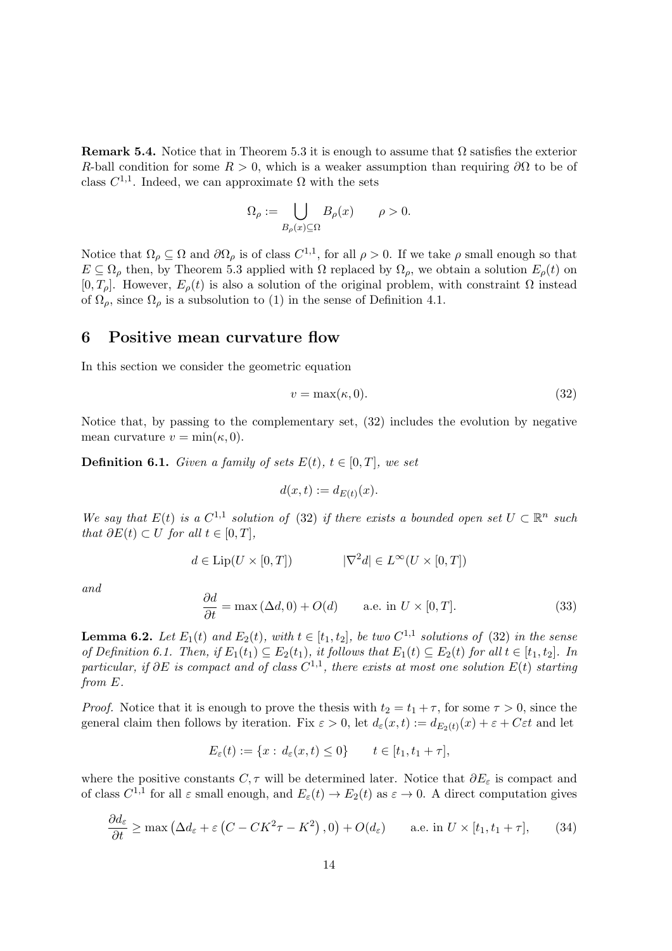**Remark 5.4.** Notice that in Theorem 5.3 it is enough to assume that  $\Omega$  satisfies the exterior R-ball condition for some  $R > 0$ , which is a weaker assumption than requiring  $\partial\Omega$  to be of class  $C^{1,1}$ . Indeed, we can approximate  $\Omega$  with the sets

$$
\Omega_{\rho} := \bigcup_{B_{\rho}(x) \subseteq \Omega} B_{\rho}(x) \qquad \rho > 0.
$$

Notice that  $\Omega_\rho \subseteq \Omega$  and  $\partial\Omega_\rho$  is of class  $C^{1,1}$ , for all  $\rho > 0$ . If we take  $\rho$  small enough so that  $E \subseteq \Omega_\rho$  then, by Theorem 5.3 applied with  $\Omega$  replaced by  $\Omega_\rho$ , we obtain a solution  $E_\rho(t)$  on  $[0, T_{\rho}]$ . However,  $E_{\rho}(t)$  is also a solution of the original problem, with constraint  $\Omega$  instead of  $\Omega_{\rho}$ , since  $\Omega_{\rho}$  is a subsolution to (1) in the sense of Definition 4.1.

### 6 Positive mean curvature flow

In this section we consider the geometric equation

$$
v = \max(\kappa, 0). \tag{32}
$$

Notice that, by passing to the complementary set, (32) includes the evolution by negative mean curvature  $v = \min(\kappa, 0)$ .

**Definition 6.1.** Given a family of sets  $E(t)$ ,  $t \in [0, T]$ , we set

$$
d(x,t) := d_{E(t)}(x).
$$

We say that  $E(t)$  is a  $C^{1,1}$  solution of (32) if there exists a bounded open set  $U \subset \mathbb{R}^n$  such that  $\partial E(t) \subset U$  for all  $t \in [0, T]$ ,

$$
d \in \text{Lip}(U \times [0, T]) \qquad |\nabla^2 d| \in L^{\infty}(U \times [0, T])
$$

and

$$
\frac{\partial d}{\partial t} = \max(\Delta d, 0) + O(d) \qquad \text{a.e. in } U \times [0, T]. \tag{33}
$$

**Lemma 6.2.** Let  $E_1(t)$  and  $E_2(t)$ , with  $t \in [t_1, t_2]$ , be two  $C^{1,1}$  solutions of (32) in the sense of Definition 6.1. Then, if  $E_1(t_1) \subseteq E_2(t_1)$ , it follows that  $E_1(t) \subseteq E_2(t)$  for all  $t \in [t_1, t_2]$ . In particular, if  $\partial E$  is compact and of class  $C^{1,1}$ , there exists at most one solution  $E(t)$  starting from E.

*Proof.* Notice that it is enough to prove the thesis with  $t_2 = t_1 + \tau$ , for some  $\tau > 0$ , since the general claim then follows by iteration. Fix  $\varepsilon > 0$ , let  $d_{\varepsilon}(x,t) := d_{E_2(t)}(x) + \varepsilon + C\varepsilon t$  and let

$$
E_{\varepsilon}(t) := \{x : d_{\varepsilon}(x,t) \le 0\} \qquad t \in [t_1, t_1 + \tau],
$$

where the positive constants  $C, \tau$  will be determined later. Notice that  $\partial E_{\varepsilon}$  is compact and of class  $C^{1,1}$  for all  $\varepsilon$  small enough, and  $E_{\varepsilon}(t) \to E_2(t)$  as  $\varepsilon \to 0$ . A direct computation gives

$$
\frac{\partial d_{\varepsilon}}{\partial t} \ge \max\left(\Delta d_{\varepsilon} + \varepsilon \left(C - CK^2 \tau - K^2\right), 0\right) + O(d_{\varepsilon}) \qquad \text{a.e. in } U \times [t_1, t_1 + \tau],\tag{34}
$$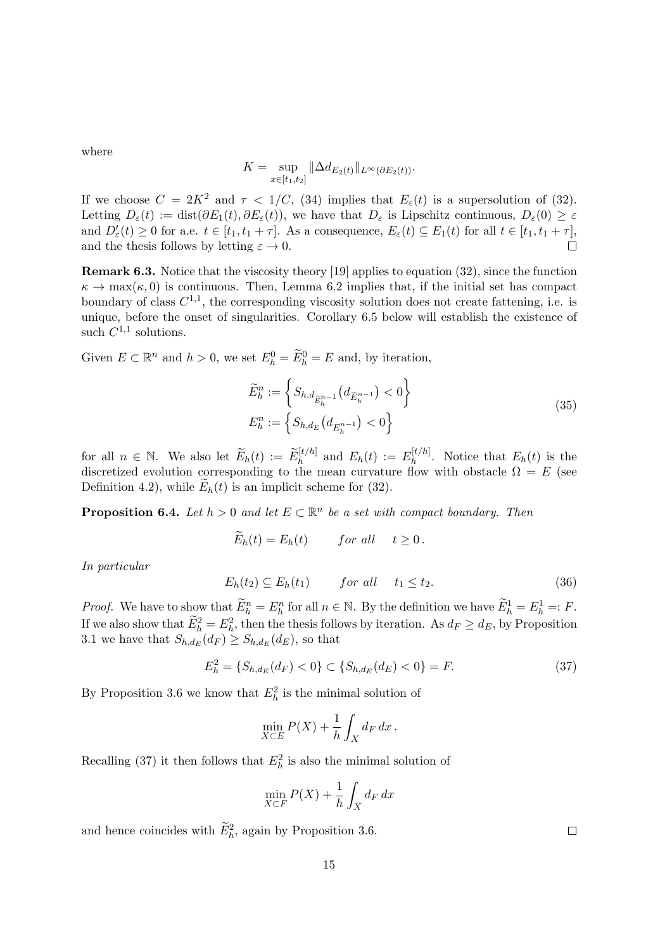where

$$
K = \sup_{x \in [t_1, t_2]} \|\Delta d_{E_2(t)}\|_{L^{\infty}(\partial E_2(t))}.
$$

If we choose  $C = 2K^2$  and  $\tau < 1/C$ , (34) implies that  $E_{\varepsilon}(t)$  is a supersolution of (32). Letting  $D_{\varepsilon}(t) := \text{dist}(\partial E_1(t), \partial E_{\varepsilon}(t))$ , we have that  $D_{\varepsilon}$  is Lipschitz continuous,  $D_{\varepsilon}(0) \geq \varepsilon$ and  $D'_{\varepsilon}(t) \geq 0$  for a.e.  $t \in [t_1, t_1 + \tau]$ . As a consequence,  $E_{\varepsilon}(t) \subseteq E_1(t)$  for all  $t \in [t_1, t_1 + \tau]$ , and the thesis follows by letting  $\varepsilon \to 0$ .  $\Box$ 

Remark 6.3. Notice that the viscosity theory [19] applies to equation (32), since the function  $\kappa \to \max(\kappa, 0)$  is continuous. Then, Lemma 6.2 implies that, if the initial set has compact boundary of class  $C^{1,1}$ , the corresponding viscosity solution does not create fattening, i.e. is unique, before the onset of singularities. Corollary 6.5 below will establish the existence of such  $C^{1,1}$  solutions.

Given  $E \subset \mathbb{R}^n$  and  $h > 0$ , we set  $E_h^0 = \widetilde{E}_h^0 = E$  and, by iteration,

$$
\widetilde{E}_h^n := \left\{ S_{h,d_{\widetilde{E}_h^{n-1}}}(d_{\widetilde{E}_h^{n-1}}) < 0 \right\}
$$
\n
$$
E_h^n := \left\{ S_{h,d_E}(d_{E_h^{n-1}}) < 0 \right\}
$$
\n(35)

for all  $n \in \mathbb{N}$ . We also let  $\widetilde{E}_h(t) := \widetilde{E}_h^{[t/h]}$  and  $E_h(t) := E_h^{[t/h]}$  $\int_{h}^{\lfloor t^{n}/h \rfloor}$ . Notice that  $E_{h}(t)$  is the discretized evolution corresponding to the mean curvature flow with obstacle  $\Omega = E$  (see Definition 4.2), while  $E_h(t)$  is an implicit scheme for (32).

**Proposition 6.4.** Let  $h > 0$  and let  $E \subset \mathbb{R}^n$  be a set with compact boundary. Then

$$
\widetilde{E}_h(t) = E_h(t) \qquad \text{for all} \quad t \ge 0.
$$

In particular

$$
E_h(t_2) \subseteq E_h(t_1) \qquad \text{for all} \quad t_1 \le t_2. \tag{36}
$$

*Proof.* We have to show that  $\widetilde{E}_h^n = E_h^n$  for all  $n \in \mathbb{N}$ . By the definition we have  $\widetilde{E}_h^1 = E_h^1 =: F$ . If we also show that  $\widetilde{E}_h^2 = E_h^2$ , then the thesis follows by iteration. As  $d_F \geq d_E$ , by Proposition 3.1 we have that  $S_{h,d_E}(d_F) \geq S_{h,d_E}(d_E)$ , so that

$$
E_h^2 = \{ S_{h,d_E}(d_F) < 0 \} \subset \{ S_{h,d_E}(d_E) < 0 \} = F. \tag{37}
$$

By Proposition 3.6 we know that  $E_h^2$  is the minimal solution of

$$
\min_{X \subset E} P(X) + \frac{1}{h} \int_X d_F dx.
$$

Recalling (37) it then follows that  $E_h^2$  is also the minimal solution of

$$
\min_{X \subset F} P(X) + \frac{1}{h} \int_X d_F \, dx
$$

and hence coincides with  $\tilde{E}_h^2$ , again by Proposition 3.6.

15

 $\Box$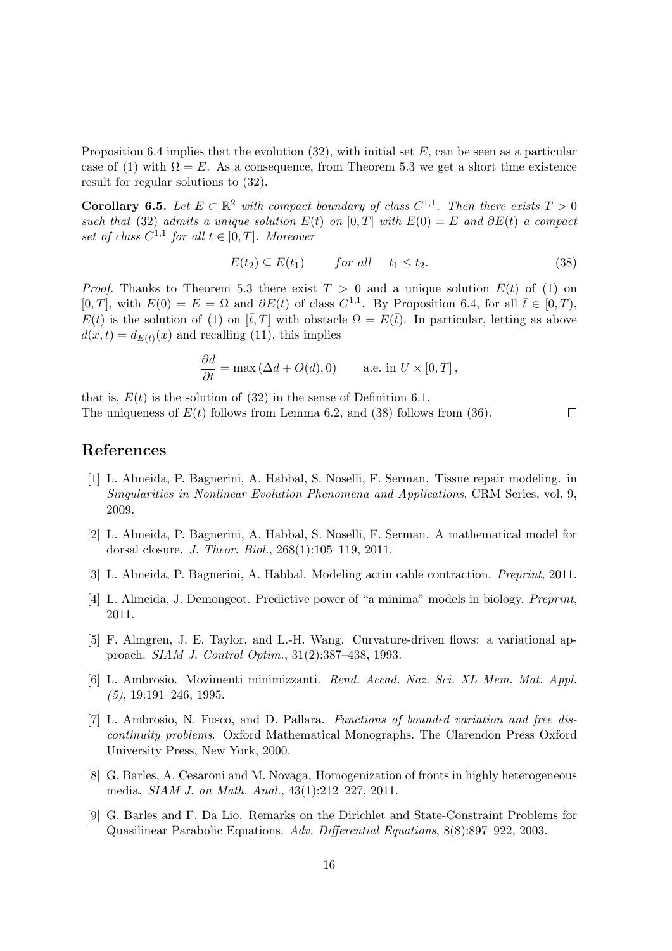Proposition 6.4 implies that the evolution  $(32)$ , with initial set E, can be seen as a particular case of (1) with  $\Omega = E$ . As a consequence, from Theorem 5.3 we get a short time existence result for regular solutions to (32).

**Corollary 6.5.** Let  $E \subset \mathbb{R}^2$  with compact boundary of class  $C^{1,1}$ . Then there exists  $T > 0$ such that (32) admits a unique solution  $E(t)$  on  $[0, T]$  with  $E(0) = E$  and  $\partial E(t)$  a compact set of class  $C^{1,1}$  for all  $t \in [0,T]$ . Moreover

$$
E(t_2) \subseteq E(t_1) \qquad \text{for all} \quad t_1 \le t_2. \tag{38}
$$

 $\Box$ 

*Proof.* Thanks to Theorem 5.3 there exist  $T > 0$  and a unique solution  $E(t)$  of (1) on [0, T], with  $E(0) = E = \Omega$  and  $\partial E(t)$  of class  $C^{1,1}$ . By Proposition 6.4, for all  $\bar{t} \in [0, T)$ ,  $E(t)$  is the solution of (1) on  $[\bar{t}, T]$  with obstacle  $\Omega = E(\bar{t})$ . In particular, letting as above  $d(x,t) = d_{E(t)}(x)$  and recalling (11), this implies

$$
\frac{\partial d}{\partial t} = \max (\Delta d + O(d), 0) \quad \text{a.e. in } U \times [0, T],
$$

that is,  $E(t)$  is the solution of (32) in the sense of Definition 6.1. The uniqueness of  $E(t)$  follows from Lemma 6.2, and (38) follows from (36).

### References

- [1] L. Almeida, P. Bagnerini, A. Habbal, S. Noselli, F. Serman. Tissue repair modeling. in Singularities in Nonlinear Evolution Phenomena and Applications, CRM Series, vol. 9, 2009.
- [2] L. Almeida, P. Bagnerini, A. Habbal, S. Noselli, F. Serman. A mathematical model for dorsal closure. J. Theor. Biol., 268(1):105–119, 2011.
- [3] L. Almeida, P. Bagnerini, A. Habbal. Modeling actin cable contraction. Preprint, 2011.
- [4] L. Almeida, J. Demongeot. Predictive power of "a minima" models in biology. Preprint, 2011.
- [5] F. Almgren, J. E. Taylor, and L.-H. Wang. Curvature-driven flows: a variational approach. SIAM J. Control Optim., 31(2):387–438, 1993.
- [6] L. Ambrosio. Movimenti minimizzanti. Rend. Accad. Naz. Sci. XL Mem. Mat. Appl.  $(5)$ , 19:191–246, 1995.
- [7] L. Ambrosio, N. Fusco, and D. Pallara. Functions of bounded variation and free discontinuity problems. Oxford Mathematical Monographs. The Clarendon Press Oxford University Press, New York, 2000.
- [8] G. Barles, A. Cesaroni and M. Novaga, Homogenization of fronts in highly heterogeneous media. SIAM J. on Math. Anal., 43(1):212–227, 2011.
- [9] G. Barles and F. Da Lio. Remarks on the Dirichlet and State-Constraint Problems for Quasilinear Parabolic Equations. Adv. Differential Equations, 8(8):897–922, 2003.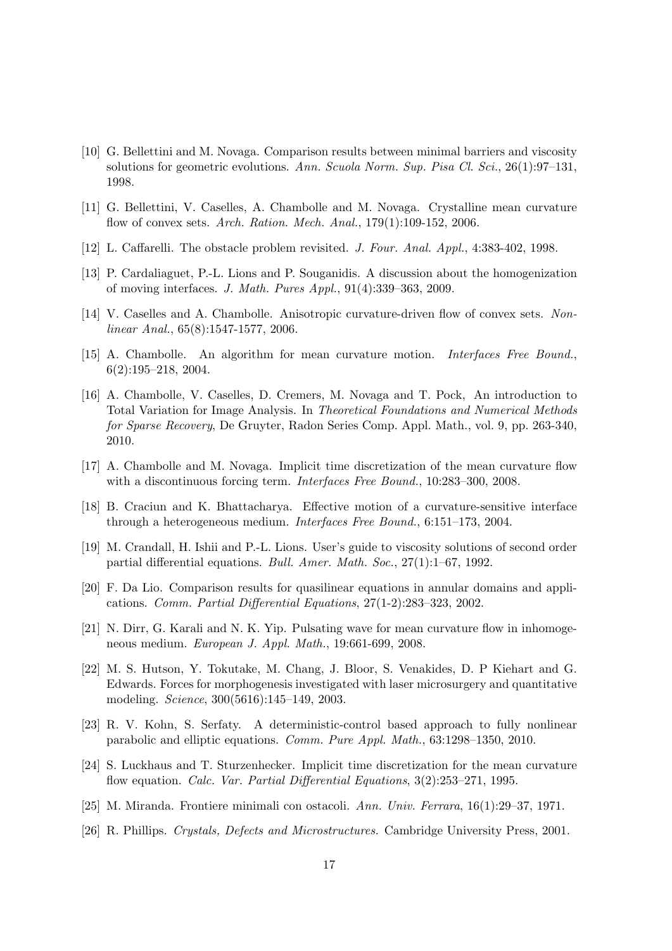- [10] G. Bellettini and M. Novaga. Comparison results between minimal barriers and viscosity solutions for geometric evolutions. Ann. Scuola Norm. Sup. Pisa Cl. Sci., 26(1):97–131, 1998.
- [11] G. Bellettini, V. Caselles, A. Chambolle and M. Novaga. Crystalline mean curvature flow of convex sets. Arch. Ration. Mech. Anal., 179(1):109-152, 2006.
- [12] L. Caffarelli. The obstacle problem revisited. J. Four. Anal. Appl., 4:383-402, 1998.
- [13] P. Cardaliaguet, P.-L. Lions and P. Souganidis. A discussion about the homogenization of moving interfaces. J. Math. Pures Appl., 91(4):339–363, 2009.
- [14] V. Caselles and A. Chambolle. Anisotropic curvature-driven flow of convex sets. Nonlinear Anal., 65(8):1547-1577, 2006.
- [15] A. Chambolle. An algorithm for mean curvature motion. Interfaces Free Bound., 6(2):195–218, 2004.
- [16] A. Chambolle, V. Caselles, D. Cremers, M. Novaga and T. Pock, An introduction to Total Variation for Image Analysis. In Theoretical Foundations and Numerical Methods for Sparse Recovery, De Gruyter, Radon Series Comp. Appl. Math., vol. 9, pp. 263-340, 2010.
- [17] A. Chambolle and M. Novaga. Implicit time discretization of the mean curvature flow with a discontinuous forcing term. *Interfaces Free Bound.*, 10:283-300, 2008.
- [18] B. Craciun and K. Bhattacharya. Effective motion of a curvature-sensitive interface through a heterogeneous medium. Interfaces Free Bound., 6:151–173, 2004.
- [19] M. Crandall, H. Ishii and P.-L. Lions. User's guide to viscosity solutions of second order partial differential equations. Bull. Amer. Math. Soc., 27(1):1–67, 1992.
- [20] F. Da Lio. Comparison results for quasilinear equations in annular domains and applications. Comm. Partial Differential Equations, 27(1-2):283–323, 2002.
- [21] N. Dirr, G. Karali and N. K. Yip. Pulsating wave for mean curvature flow in inhomogeneous medium. European J. Appl. Math., 19:661-699, 2008.
- [22] M. S. Hutson, Y. Tokutake, M. Chang, J. Bloor, S. Venakides, D. P Kiehart and G. Edwards. Forces for morphogenesis investigated with laser microsurgery and quantitative modeling. Science, 300(5616):145–149, 2003.
- [23] R. V. Kohn, S. Serfaty. A deterministic-control based approach to fully nonlinear parabolic and elliptic equations. Comm. Pure Appl. Math., 63:1298–1350, 2010.
- [24] S. Luckhaus and T. Sturzenhecker. Implicit time discretization for the mean curvature flow equation. Calc. Var. Partial Differential Equations, 3(2):253–271, 1995.
- [25] M. Miranda. Frontiere minimali con ostacoli. Ann. Univ. Ferrara, 16(1):29–37, 1971.
- [26] R. Phillips. Crystals, Defects and Microstructures. Cambridge University Press, 2001.